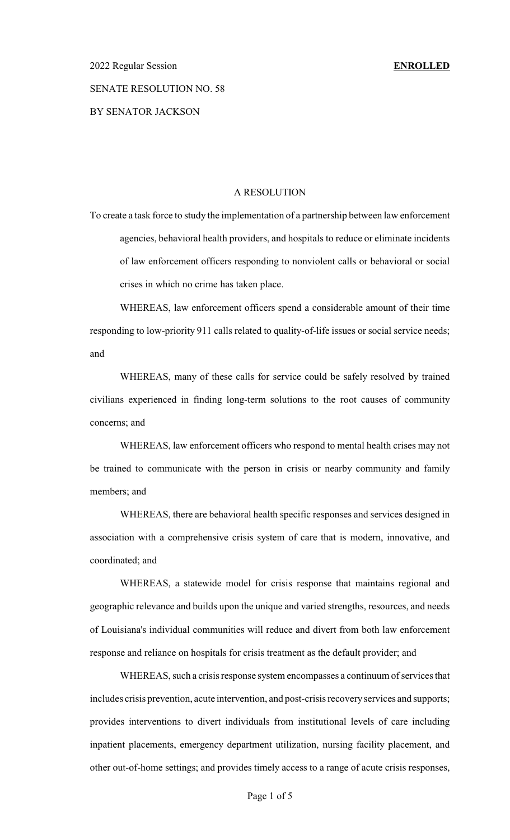### SENATE RESOLUTION NO. 58

### BY SENATOR JACKSON

### A RESOLUTION

To create a task force to study the implementation of a partnership between law enforcement agencies, behavioral health providers, and hospitals to reduce or eliminate incidents of law enforcement officers responding to nonviolent calls or behavioral or social crises in which no crime has taken place.

WHEREAS, law enforcement officers spend a considerable amount of their time responding to low-priority 911 calls related to quality-of-life issues or social service needs; and

WHEREAS, many of these calls for service could be safely resolved by trained civilians experienced in finding long-term solutions to the root causes of community concerns; and

WHEREAS, law enforcement officers who respond to mental health crises may not be trained to communicate with the person in crisis or nearby community and family members; and

WHEREAS, there are behavioral health specific responses and services designed in association with a comprehensive crisis system of care that is modern, innovative, and coordinated; and

WHEREAS, a statewide model for crisis response that maintains regional and geographic relevance and builds upon the unique and varied strengths, resources, and needs of Louisiana's individual communities will reduce and divert from both law enforcement response and reliance on hospitals for crisis treatment as the default provider; and

WHEREAS, such a crisis response system encompasses a continuum of services that includes crisis prevention, acute intervention, and post-crisis recoveryservices and supports; provides interventions to divert individuals from institutional levels of care including inpatient placements, emergency department utilization, nursing facility placement, and other out-of-home settings; and provides timely access to a range of acute crisis responses,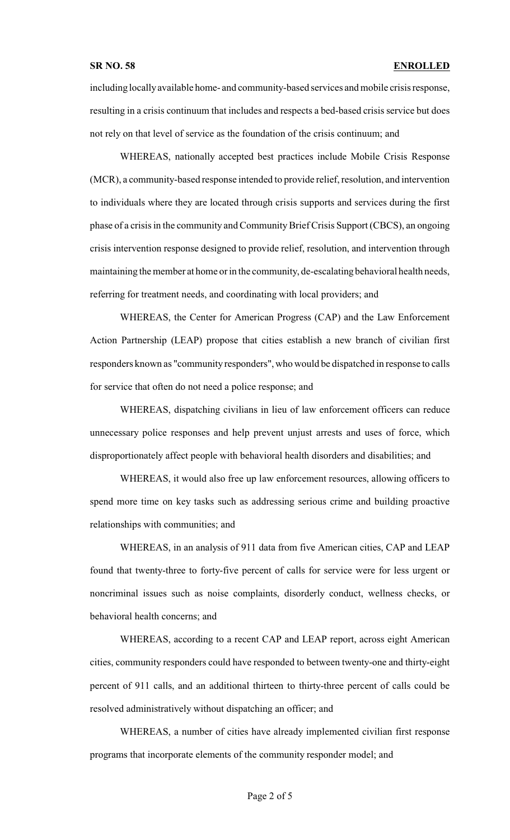including locallyavailable home- and community-based services and mobile crisis response, resulting in a crisis continuum that includes and respects a bed-based crisis service but does not rely on that level of service as the foundation of the crisis continuum; and

WHEREAS, nationally accepted best practices include Mobile Crisis Response (MCR), a community-based response intended to provide relief, resolution, and intervention to individuals where they are located through crisis supports and services during the first phase of a crisis in the community and Community Brief Crisis Support (CBCS), an ongoing crisis intervention response designed to provide relief, resolution, and intervention through maintaining the member at home or in the community, de-escalatingbehavioral health needs, referring for treatment needs, and coordinating with local providers; and

WHEREAS, the Center for American Progress (CAP) and the Law Enforcement Action Partnership (LEAP) propose that cities establish a new branch of civilian first responders known as "community responders", who would be dispatched in response to calls for service that often do not need a police response; and

WHEREAS, dispatching civilians in lieu of law enforcement officers can reduce unnecessary police responses and help prevent unjust arrests and uses of force, which disproportionately affect people with behavioral health disorders and disabilities; and

WHEREAS, it would also free up law enforcement resources, allowing officers to spend more time on key tasks such as addressing serious crime and building proactive relationships with communities; and

WHEREAS, in an analysis of 911 data from five American cities, CAP and LEAP found that twenty-three to forty-five percent of calls for service were for less urgent or noncriminal issues such as noise complaints, disorderly conduct, wellness checks, or behavioral health concerns; and

WHEREAS, according to a recent CAP and LEAP report, across eight American cities, community responders could have responded to between twenty-one and thirty-eight percent of 911 calls, and an additional thirteen to thirty-three percent of calls could be resolved administratively without dispatching an officer; and

WHEREAS, a number of cities have already implemented civilian first response programs that incorporate elements of the community responder model; and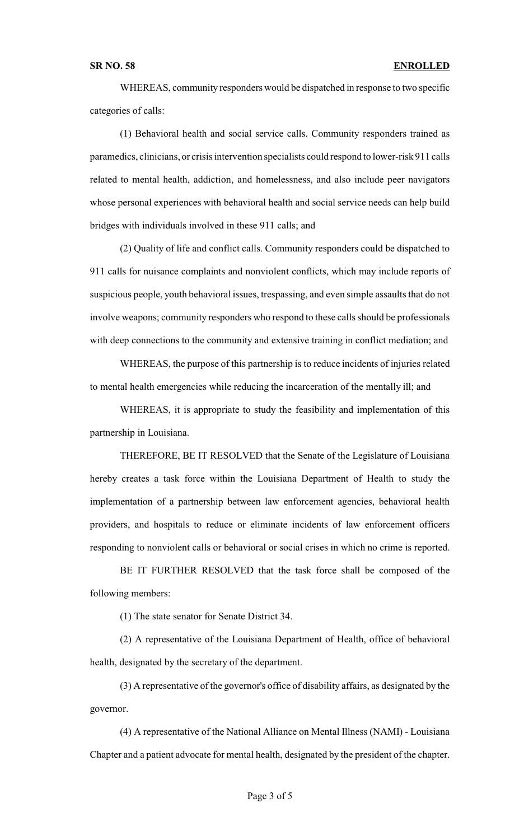## **SR NO. 58 ENROLLED**

WHEREAS, community responders would be dispatched in response to two specific categories of calls:

(1) Behavioral health and social service calls. Community responders trained as paramedics, clinicians, or crisis intervention specialists could respond to lower-risk 911 calls related to mental health, addiction, and homelessness, and also include peer navigators whose personal experiences with behavioral health and social service needs can help build bridges with individuals involved in these 911 calls; and

(2) Quality of life and conflict calls. Community responders could be dispatched to 911 calls for nuisance complaints and nonviolent conflicts, which may include reports of suspicious people, youth behavioral issues, trespassing, and even simple assaults that do not involve weapons; community responders who respond to these calls should be professionals with deep connections to the community and extensive training in conflict mediation; and

WHEREAS, the purpose of this partnership is to reduce incidents of injuries related to mental health emergencies while reducing the incarceration of the mentally ill; and

WHEREAS, it is appropriate to study the feasibility and implementation of this partnership in Louisiana.

THEREFORE, BE IT RESOLVED that the Senate of the Legislature of Louisiana hereby creates a task force within the Louisiana Department of Health to study the implementation of a partnership between law enforcement agencies, behavioral health providers, and hospitals to reduce or eliminate incidents of law enforcement officers responding to nonviolent calls or behavioral or social crises in which no crime is reported.

BE IT FURTHER RESOLVED that the task force shall be composed of the following members:

(1) The state senator for Senate District 34.

(2) A representative of the Louisiana Department of Health, office of behavioral health, designated by the secretary of the department.

(3) A representative of the governor's office of disability affairs, as designated by the governor.

(4) A representative of the National Alliance on Mental Illness (NAMI) - Louisiana Chapter and a patient advocate for mental health, designated by the president of the chapter.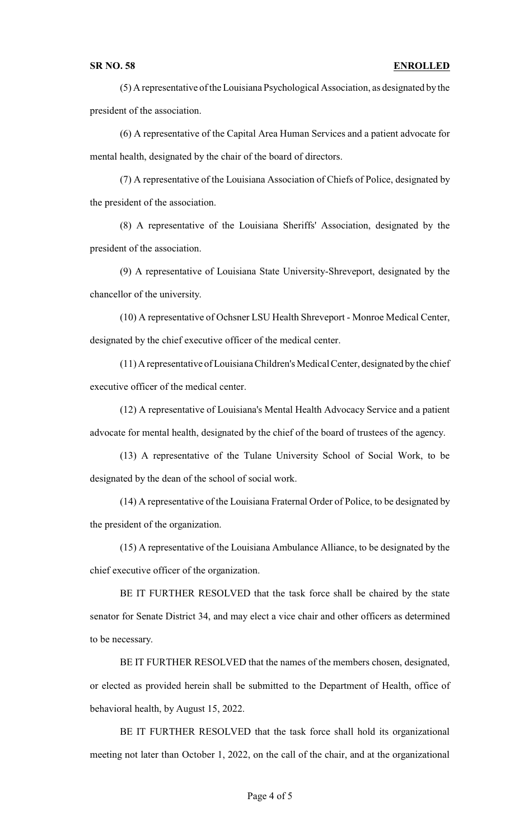## **SR NO. 58 ENROLLED**

(5) A representative of the Louisiana Psychological Association, as designated by the president of the association.

(6) A representative of the Capital Area Human Services and a patient advocate for mental health, designated by the chair of the board of directors.

(7) A representative of the Louisiana Association of Chiefs of Police, designated by the president of the association.

(8) A representative of the Louisiana Sheriffs' Association, designated by the president of the association.

(9) A representative of Louisiana State University-Shreveport, designated by the chancellor of the university.

(10) A representative of Ochsner LSU Health Shreveport - Monroe Medical Center, designated by the chief executive officer of the medical center.

(11) A representative of Louisiana Children's Medical Center, designated bythe chief executive officer of the medical center.

(12) A representative of Louisiana's Mental Health Advocacy Service and a patient advocate for mental health, designated by the chief of the board of trustees of the agency.

(13) A representative of the Tulane University School of Social Work, to be designated by the dean of the school of social work.

(14) A representative of the Louisiana Fraternal Order of Police, to be designated by the president of the organization.

(15) A representative of the Louisiana Ambulance Alliance, to be designated by the chief executive officer of the organization.

BE IT FURTHER RESOLVED that the task force shall be chaired by the state senator for Senate District 34, and may elect a vice chair and other officers as determined to be necessary.

BE IT FURTHER RESOLVED that the names of the members chosen, designated, or elected as provided herein shall be submitted to the Department of Health, office of behavioral health, by August 15, 2022.

BE IT FURTHER RESOLVED that the task force shall hold its organizational meeting not later than October 1, 2022, on the call of the chair, and at the organizational